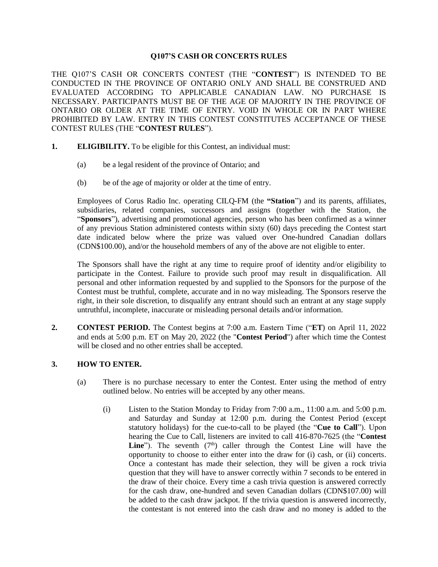### **Q107'S CASH OR CONCERTS RULES**

THE Q107'S CASH OR CONCERTS CONTEST (THE "**CONTEST**") IS INTENDED TO BE CONDUCTED IN THE PROVINCE OF ONTARIO ONLY AND SHALL BE CONSTRUED AND EVALUATED ACCORDING TO APPLICABLE CANADIAN LAW. NO PURCHASE IS NECESSARY. PARTICIPANTS MUST BE OF THE AGE OF MAJORITY IN THE PROVINCE OF ONTARIO OR OLDER AT THE TIME OF ENTRY. VOID IN WHOLE OR IN PART WHERE PROHIBITED BY LAW. ENTRY IN THIS CONTEST CONSTITUTES ACCEPTANCE OF THESE CONTEST RULES (THE "**CONTEST RULES**").

- **1. ELIGIBILITY.** To be eligible for this Contest, an individual must:
	- (a) be a legal resident of the province of Ontario; and
	- (b) be of the age of majority or older at the time of entry.

Employees of Corus Radio Inc. operating CILQ-FM (the **"Station**") and its parents, affiliates, subsidiaries, related companies, successors and assigns (together with the Station, the "**Sponsors**"), advertising and promotional agencies, person who has been confirmed as a winner of any previous Station administered contests within sixty (60) days preceding the Contest start date indicated below where the prize was valued over One-hundred Canadian dollars (CDN\$100.00), and/or the household members of any of the above are not eligible to enter.

The Sponsors shall have the right at any time to require proof of identity and/or eligibility to participate in the Contest. Failure to provide such proof may result in disqualification. All personal and other information requested by and supplied to the Sponsors for the purpose of the Contest must be truthful, complete, accurate and in no way misleading. The Sponsors reserve the right, in their sole discretion, to disqualify any entrant should such an entrant at any stage supply untruthful, incomplete, inaccurate or misleading personal details and/or information.

**2. CONTEST PERIOD.** The Contest begins at 7:00 a.m. Eastern Time ("**ET**) on April 11, 2022 and ends at 5:00 p.m. ET on May 20, 2022 (the "**Contest Period**") after which time the Contest will be closed and no other entries shall be accepted.

### **3. HOW TO ENTER.**

- (a) There is no purchase necessary to enter the Contest. Enter using the method of entry outlined below. No entries will be accepted by any other means.
	- (i) Listen to the Station Monday to Friday from 7:00 a.m., 11:00 a.m. and 5:00 p.m. and Saturday and Sunday at 12:00 p.m. during the Contest Period (except statutory holidays) for the cue-to-call to be played (the "**Cue to Call**"). Upon hearing the Cue to Call, listeners are invited to call 416-870-7625 (the "**Contest**  Line"). The seventh (7<sup>th</sup>) caller through the Contest Line will have the opportunity to choose to either enter into the draw for (i) cash, or (ii) concerts. Once a contestant has made their selection, they will be given a rock trivia question that they will have to answer correctly within 7 seconds to be entered in the draw of their choice. Every time a cash trivia question is answered correctly for the cash draw, one-hundred and seven Canadian dollars (CDN\$107.00) will be added to the cash draw jackpot. If the trivia question is answered incorrectly, the contestant is not entered into the cash draw and no money is added to the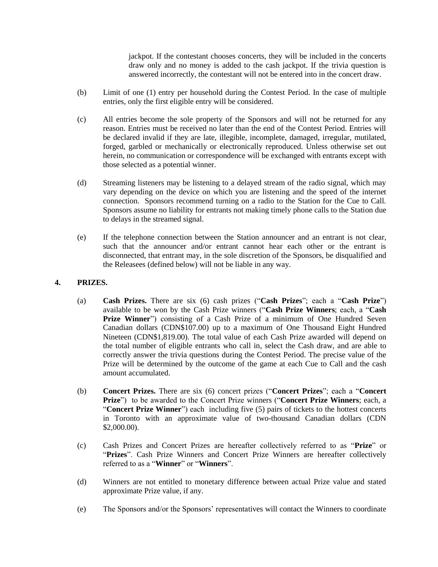jackpot. If the contestant chooses concerts, they will be included in the concerts draw only and no money is added to the cash jackpot. If the trivia question is answered incorrectly, the contestant will not be entered into in the concert draw.

- (b) Limit of one (1) entry per household during the Contest Period. In the case of multiple entries, only the first eligible entry will be considered.
- (c) All entries become the sole property of the Sponsors and will not be returned for any reason. Entries must be received no later than the end of the Contest Period. Entries will be declared invalid if they are late, illegible, incomplete, damaged, irregular, mutilated, forged, garbled or mechanically or electronically reproduced. Unless otherwise set out herein, no communication or correspondence will be exchanged with entrants except with those selected as a potential winner.
- (d) Streaming listeners may be listening to a delayed stream of the radio signal, which may vary depending on the device on which you are listening and the speed of the internet connection. Sponsors recommend turning on a radio to the Station for the Cue to Call. Sponsors assume no liability for entrants not making timely phone calls to the Station due to delays in the streamed signal.
- (e) If the telephone connection between the Station announcer and an entrant is not clear, such that the announcer and/or entrant cannot hear each other or the entrant is disconnected, that entrant may, in the sole discretion of the Sponsors, be disqualified and the Releasees (defined below) will not be liable in any way.

## **4. PRIZES.**

- (a) **Cash Prizes.** There are six (6) cash prizes ("**Cash Prizes**"; each a "**Cash Prize**") available to be won by the Cash Prize winners ("**Cash Prize Winners**; each, a "**Cash**  Prize Winner") consisting of a Cash Prize of a minimum of One Hundred Seven Canadian dollars (CDN\$107.00) up to a maximum of One Thousand Eight Hundred Nineteen (CDN\$1,819.00). The total value of each Cash Prize awarded will depend on the total number of eligible entrants who call in, select the Cash draw, and are able to correctly answer the trivia questions during the Contest Period. The precise value of the Prize will be determined by the outcome of the game at each Cue to Call and the cash amount accumulated.
- (b) **Concert Prizes.** There are six (6) concert prizes ("**Concert Prizes**"; each a "**Concert Prize**") to be awarded to the Concert Prize winners ("**Concert Prize Winners**; each, a "**Concert Prize Winner**") each including five (5) pairs of tickets to the hottest concerts in Toronto with an approximate value of two-thousand Canadian dollars (CDN \$2,000.00).
- (c) Cash Prizes and Concert Prizes are hereafter collectively referred to as "**Prize**" or "**Prizes**". Cash Prize Winners and Concert Prize Winners are hereafter collectively referred to as a "**Winner**" or "**Winners**".
- (d) Winners are not entitled to monetary difference between actual Prize value and stated approximate Prize value, if any.
- (e) The Sponsors and/or the Sponsors' representatives will contact the Winners to coordinate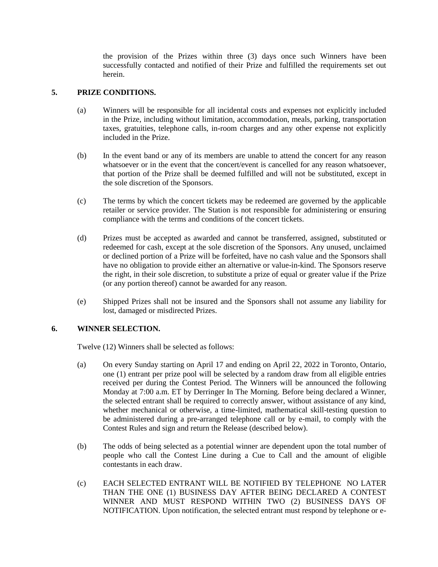the provision of the Prizes within three (3) days once such Winners have been successfully contacted and notified of their Prize and fulfilled the requirements set out herein.

### **5. PRIZE CONDITIONS.**

- (a) Winners will be responsible for all incidental costs and expenses not explicitly included in the Prize, including without limitation, accommodation, meals, parking, transportation taxes, gratuities, telephone calls, in-room charges and any other expense not explicitly included in the Prize.
- (b) In the event band or any of its members are unable to attend the concert for any reason whatsoever or in the event that the concert/event is cancelled for any reason whatsoever, that portion of the Prize shall be deemed fulfilled and will not be substituted, except in the sole discretion of the Sponsors.
- (c) The terms by which the concert tickets may be redeemed are governed by the applicable retailer or service provider. The Station is not responsible for administering or ensuring compliance with the terms and conditions of the concert tickets.
- (d) Prizes must be accepted as awarded and cannot be transferred, assigned, substituted or redeemed for cash, except at the sole discretion of the Sponsors. Any unused, unclaimed or declined portion of a Prize will be forfeited, have no cash value and the Sponsors shall have no obligation to provide either an alternative or value-in-kind. The Sponsors reserve the right, in their sole discretion, to substitute a prize of equal or greater value if the Prize (or any portion thereof) cannot be awarded for any reason.
- (e) Shipped Prizes shall not be insured and the Sponsors shall not assume any liability for lost, damaged or misdirected Prizes.

### **6. WINNER SELECTION.**

Twelve (12) Winners shall be selected as follows:

- (a) On every Sunday starting on April 17 and ending on April 22, 2022 in Toronto, Ontario, one (1) entrant per prize pool will be selected by a random draw from all eligible entries received per during the Contest Period. The Winners will be announced the following Monday at 7:00 a.m. ET by Derringer In The Morning. Before being declared a Winner, the selected entrant shall be required to correctly answer, without assistance of any kind, whether mechanical or otherwise, a time-limited, mathematical skill-testing question to be administered during a pre-arranged telephone call or by e-mail, to comply with the Contest Rules and sign and return the Release (described below).
- (b) The odds of being selected as a potential winner are dependent upon the total number of people who call the Contest Line during a Cue to Call and the amount of eligible contestants in each draw.
- (c) EACH SELECTED ENTRANT WILL BE NOTIFIED BY TELEPHONE NO LATER THAN THE ONE (1) BUSINESS DAY AFTER BEING DECLARED A CONTEST WINNER AND MUST RESPOND WITHIN TWO (2) BUSINESS DAYS OF NOTIFICATION. Upon notification, the selected entrant must respond by telephone or e-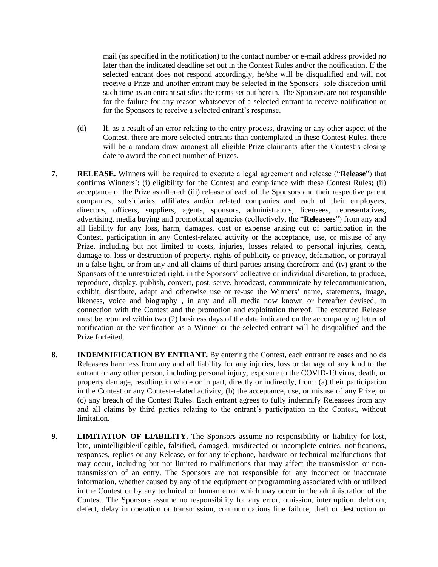mail (as specified in the notification) to the contact number or e-mail address provided no later than the indicated deadline set out in the Contest Rules and/or the notification. If the selected entrant does not respond accordingly, he/she will be disqualified and will not receive a Prize and another entrant may be selected in the Sponsors' sole discretion until such time as an entrant satisfies the terms set out herein. The Sponsors are not responsible for the failure for any reason whatsoever of a selected entrant to receive notification or for the Sponsors to receive a selected entrant's response.

- (d) If, as a result of an error relating to the entry process, drawing or any other aspect of the Contest, there are more selected entrants than contemplated in these Contest Rules, there will be a random draw amongst all eligible Prize claimants after the Contest's closing date to award the correct number of Prizes.
- **7. RELEASE.** Winners will be required to execute a legal agreement and release ("**Release**") that confirms Winners': (i) eligibility for the Contest and compliance with these Contest Rules; (ii) acceptance of the Prize as offered; (iii) release of each of the Sponsors and their respective parent companies, subsidiaries, affiliates and/or related companies and each of their employees, directors, officers, suppliers, agents, sponsors, administrators, licensees, representatives, advertising, media buying and promotional agencies (collectively, the "**Releasees**") from any and all liability for any loss, harm, damages, cost or expense arising out of participation in the Contest, participation in any Contest-related activity or the acceptance, use, or misuse of any Prize, including but not limited to costs, injuries, losses related to personal injuries, death, damage to, loss or destruction of property, rights of publicity or privacy, defamation, or portrayal in a false light, or from any and all claims of third parties arising therefrom; and (iv) grant to the Sponsors of the unrestricted right, in the Sponsors' collective or individual discretion, to produce, reproduce, display, publish, convert, post, serve, broadcast, communicate by telecommunication, exhibit, distribute, adapt and otherwise use or re-use the Winners' name, statements, image, likeness, voice and biography , in any and all media now known or hereafter devised, in connection with the Contest and the promotion and exploitation thereof. The executed Release must be returned within two (2) business days of the date indicated on the accompanying letter of notification or the verification as a Winner or the selected entrant will be disqualified and the Prize forfeited.
- **8. INDEMNIFICATION BY ENTRANT.** By entering the Contest, each entrant releases and holds Releasees harmless from any and all liability for any injuries, loss or damage of any kind to the entrant or any other person, including personal injury, exposure to the COVID-19 virus, death, or property damage, resulting in whole or in part, directly or indirectly, from: (a) their participation in the Contest or any Contest-related activity; (b) the acceptance, use, or misuse of any Prize; or (c) any breach of the Contest Rules. Each entrant agrees to fully indemnify Releasees from any and all claims by third parties relating to the entrant's participation in the Contest, without limitation.
- **9. LIMITATION OF LIABILITY.** The Sponsors assume no responsibility or liability for lost, late, unintelligible/illegible, falsified, damaged, misdirected or incomplete entries, notifications, responses, replies or any Release, or for any telephone, hardware or technical malfunctions that may occur, including but not limited to malfunctions that may affect the transmission or nontransmission of an entry. The Sponsors are not responsible for any incorrect or inaccurate information, whether caused by any of the equipment or programming associated with or utilized in the Contest or by any technical or human error which may occur in the administration of the Contest. The Sponsors assume no responsibility for any error, omission, interruption, deletion, defect, delay in operation or transmission, communications line failure, theft or destruction or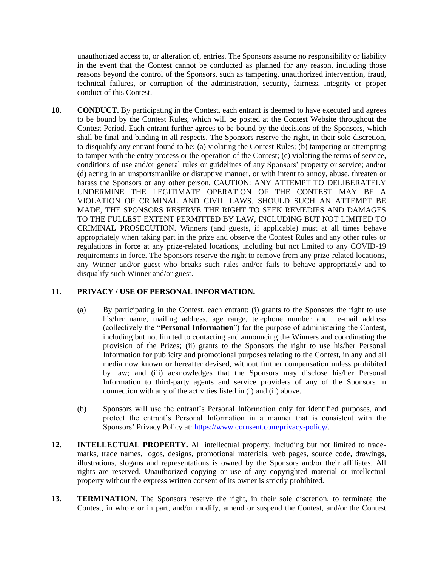unauthorized access to, or alteration of, entries. The Sponsors assume no responsibility or liability in the event that the Contest cannot be conducted as planned for any reason, including those reasons beyond the control of the Sponsors, such as tampering, unauthorized intervention, fraud, technical failures, or corruption of the administration, security, fairness, integrity or proper conduct of this Contest.

**10. CONDUCT.** By participating in the Contest, each entrant is deemed to have executed and agrees to be bound by the Contest Rules, which will be posted at the Contest Website throughout the Contest Period. Each entrant further agrees to be bound by the decisions of the Sponsors, which shall be final and binding in all respects. The Sponsors reserve the right, in their sole discretion, to disqualify any entrant found to be: (a) violating the Contest Rules; (b) tampering or attempting to tamper with the entry process or the operation of the Contest; (c) violating the terms of service, conditions of use and/or general rules or guidelines of any Sponsors' property or service; and/or (d) acting in an unsportsmanlike or disruptive manner, or with intent to annoy, abuse, threaten or harass the Sponsors or any other person. CAUTION: ANY ATTEMPT TO DELIBERATELY UNDERMINE THE LEGITIMATE OPERATION OF THE CONTEST MAY BE A VIOLATION OF CRIMINAL AND CIVIL LAWS. SHOULD SUCH AN ATTEMPT BE MADE, THE SPONSORS RESERVE THE RIGHT TO SEEK REMEDIES AND DAMAGES TO THE FULLEST EXTENT PERMITTED BY LAW, INCLUDING BUT NOT LIMITED TO CRIMINAL PROSECUTION. Winners (and guests, if applicable) must at all times behave appropriately when taking part in the prize and observe the Contest Rules and any other rules or regulations in force at any prize-related locations, including but not limited to any COVID-19 requirements in force. The Sponsors reserve the right to remove from any prize-related locations, any Winner and/or guest who breaks such rules and/or fails to behave appropriately and to disqualify such Winner and/or guest.

# **11. PRIVACY / USE OF PERSONAL INFORMATION.**

- (a) By participating in the Contest, each entrant: (i) grants to the Sponsors the right to use his/her name, mailing address, age range, telephone number and e-mail address (collectively the "**Personal Information**") for the purpose of administering the Contest, including but not limited to contacting and announcing the Winners and coordinating the provision of the Prizes; (ii) grants to the Sponsors the right to use his/her Personal Information for publicity and promotional purposes relating to the Contest, in any and all media now known or hereafter devised, without further compensation unless prohibited by law; and (iii) acknowledges that the Sponsors may disclose his/her Personal Information to third-party agents and service providers of any of the Sponsors in connection with any of the activities listed in (i) and (ii) above.
- (b) Sponsors will use the entrant's Personal Information only for identified purposes, and protect the entrant's Personal Information in a manner that is consistent with the Sponsors' Privacy Policy at: [https://www.corusent.com/privacy-policy/.](https://www.corusent.com/privacy-policy/)
- **12. INTELLECTUAL PROPERTY.** All intellectual property, including but not limited to trademarks, trade names, logos, designs, promotional materials, web pages, source code, drawings, illustrations, slogans and representations is owned by the Sponsors and/or their affiliates. All rights are reserved. Unauthorized copying or use of any copyrighted material or intellectual property without the express written consent of its owner is strictly prohibited.
- **13. TERMINATION.** The Sponsors reserve the right, in their sole discretion, to terminate the Contest, in whole or in part, and/or modify, amend or suspend the Contest, and/or the Contest